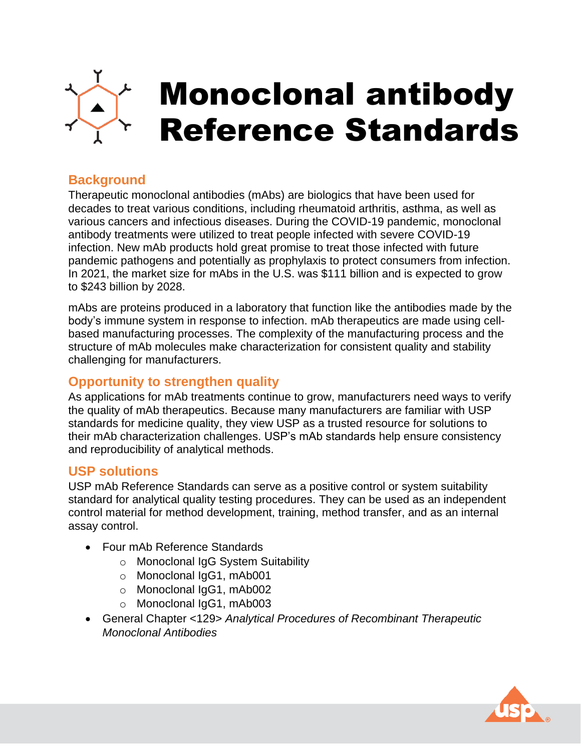

# **Background**

Therapeutic monoclonal antibodies (mAbs) are biologics that have been used for decades to treat various conditions, including rheumatoid arthritis, asthma, as well as various cancers and infectious diseases. During the COVID-19 pandemic, monoclonal antibody treatments were utilized to treat people infected with severe COVID-19 infection. New mAb products hold great promise to treat those infected with future pandemic pathogens and potentially as prophylaxis to protect consumers from infection. In 2021, the market size for mAbs in the U.S. was \$111 billion and is expected to grow to \$243 billion by 2028.

mAbs are proteins produced in a laboratory that function like the antibodies made by the body's immune system in response to infection. mAb therapeutics are made using cellbased manufacturing processes. The complexity of the manufacturing process and the structure of mAb molecules make characterization for consistent quality and stability challenging for manufacturers.

# **Opportunity to strengthen quality**

As applications for mAb treatments continue to grow, manufacturers need ways to verify the quality of mAb therapeutics. Because many manufacturers are familiar with USP standards for medicine quality, they view USP as a trusted resource for solutions to their mAb characterization challenges. USP's mAb standards help ensure consistency and reproducibility of analytical methods.

# **USP solutions**

USP mAb Reference Standards can serve as a positive control or system suitability standard for analytical quality testing procedures. They can be used as an independent control material for method development, training, method transfer, and as an internal assay control.

- Four mAb Reference Standards
	- o Monoclonal IgG System Suitability
	- o Monoclonal IgG1, mAb001
	- o Monoclonal IgG1, mAb002
	- o Monoclonal IgG1, mAb003
- General Chapter <129> *Analytical Procedures of Recombinant Therapeutic Monoclonal Antibodies*